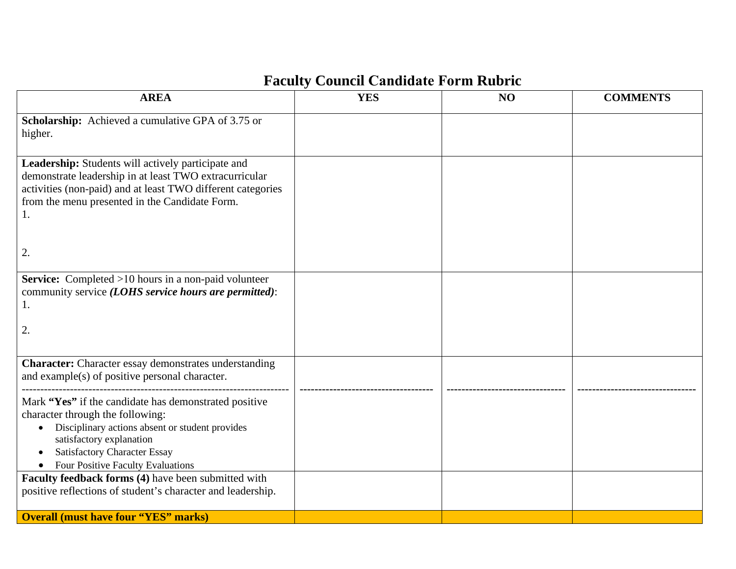# **Faculty Council Candidate Form Rubric**

| <b>AREA</b>                                                                                                                                                                                                                                                              | <b>YES</b> | NO | <b>COMMENTS</b> |
|--------------------------------------------------------------------------------------------------------------------------------------------------------------------------------------------------------------------------------------------------------------------------|------------|----|-----------------|
| Scholarship: Achieved a cumulative GPA of 3.75 or<br>higher.                                                                                                                                                                                                             |            |    |                 |
| Leadership: Students will actively participate and<br>demonstrate leadership in at least TWO extracurricular<br>activities (non-paid) and at least TWO different categories<br>from the menu presented in the Candidate Form.<br>1.                                      |            |    |                 |
| 2.                                                                                                                                                                                                                                                                       |            |    |                 |
| <b>Service:</b> Completed >10 hours in a non-paid volunteer<br>community service (LOHS service hours are permitted):<br>1.<br>2.                                                                                                                                         |            |    |                 |
|                                                                                                                                                                                                                                                                          |            |    |                 |
| <b>Character:</b> Character essay demonstrates understanding<br>and example(s) of positive personal character.                                                                                                                                                           |            |    |                 |
| Mark "Yes" if the candidate has demonstrated positive<br>character through the following:<br>Disciplinary actions absent or student provides<br>$\bullet$<br>satisfactory explanation<br><b>Satisfactory Character Essay</b><br><b>Four Positive Faculty Evaluations</b> |            |    |                 |
| Faculty feedback forms (4) have been submitted with<br>positive reflections of student's character and leadership.                                                                                                                                                       |            |    |                 |
| <b>Overall (must have four "YES" marks)</b>                                                                                                                                                                                                                              |            |    |                 |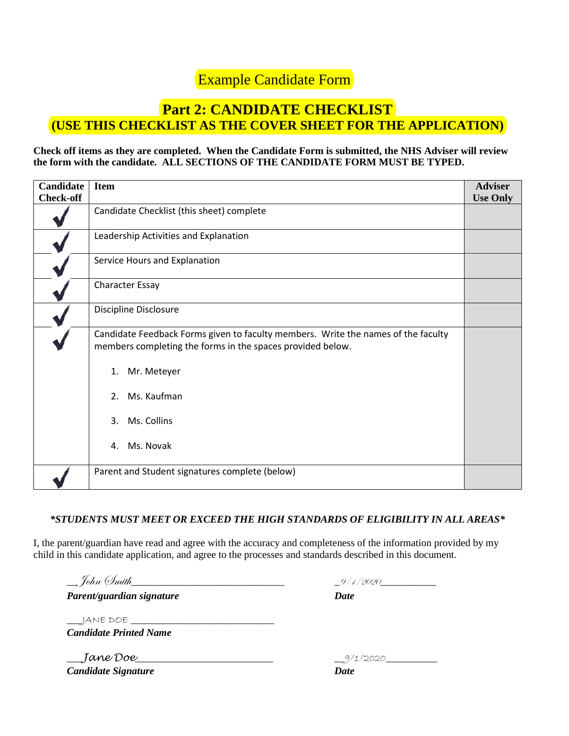## Example Candidate Form

## **Part 2: CANDIDATE CHECKLIST (USE THIS CHECKLIST AS THE COVER SHEET FOR THE APPLICATION)**

#### **Check off items as they are completed. When the Candidate Form is submitted, the NHS Adviser will review the form with the candidate. ALL SECTIONS OF THE CANDIDATE FORM MUST BE TYPED.**

| <b>Candidate</b><br><b>Check-off</b> | <b>Item</b>                                                                                                                                     | <b>Adviser</b><br><b>Use Only</b> |
|--------------------------------------|-------------------------------------------------------------------------------------------------------------------------------------------------|-----------------------------------|
|                                      | Candidate Checklist (this sheet) complete                                                                                                       |                                   |
|                                      | Leadership Activities and Explanation                                                                                                           |                                   |
|                                      | Service Hours and Explanation                                                                                                                   |                                   |
|                                      | <b>Character Essay</b>                                                                                                                          |                                   |
|                                      | Discipline Disclosure                                                                                                                           |                                   |
|                                      | Candidate Feedback Forms given to faculty members. Write the names of the faculty<br>members completing the forms in the spaces provided below. |                                   |
|                                      | Mr. Meteyer<br>1.                                                                                                                               |                                   |
|                                      | Ms. Kaufman<br>2.                                                                                                                               |                                   |
|                                      | Ms. Collins<br>3.                                                                                                                               |                                   |
|                                      | Ms. Novak<br>4.                                                                                                                                 |                                   |
|                                      | Parent and Student signatures complete (below)                                                                                                  |                                   |

### *\*STUDENTS MUST MEET OR EXCEED THE HIGH STANDARDS OF ELIGIBILITY IN ALL AREAS\**

I, the parent/guardian have read and agree with the accuracy and completeness of the information provided by my child in this candidate application, and agree to the processes and standards described in this document.

| __ John (Imith_           | 9/1/2020    |
|---------------------------|-------------|
| Parent/guardian signature | <b>Date</b> |

 $\_$ JANE DOE  $\_$ *Candidate Printed Name* 

\_\_\_*Jane Doe*\_\_\_\_\_\_\_\_\_\_\_\_\_\_\_\_\_\_\_\_\_\_\_\_\_\_\_ \_\_9/1/2020\_\_\_\_\_\_\_\_\_\_ *Candidate Signature Date* 

| _9/1/2020 |  |
|-----------|--|
| Date      |  |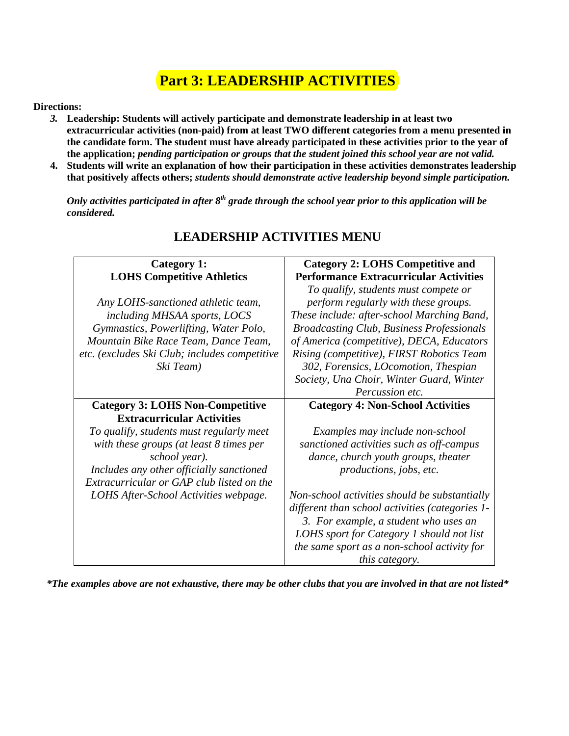## **Part 3: LEADERSHIP ACTIVITIES**

#### **Directions:**

- *3.* **Leadership: Students will actively participate and demonstrate leadership in at least two extracurricular activities (non-paid) from at least TWO different categories from a menu presented in the candidate form. The student must have already participated in these activities prior to the year of the application;** *pending participation or groups that the student joined this school year are not valid.*
- **4. Students will write an explanation of how their participation in these activities demonstrates leadership that positively affects others;** *students should demonstrate active leadership beyond simple participation.*

*Only activities participated in after 8th grade through the school year prior to this application will be considered.*

| <b>LOHS Competitive Athletics</b>             | <b>Performance Extracurricular Activities</b>    |
|-----------------------------------------------|--------------------------------------------------|
|                                               | To qualify, students must compete or             |
| Any LOHS-sanctioned athletic team,            | perform regularly with these groups.             |
| including MHSAA sports, LOCS                  | These include: after-school Marching Band,       |
| Gymnastics, Powerlifting, Water Polo,         | <b>Broadcasting Club, Business Professionals</b> |
| Mountain Bike Race Team, Dance Team,          | of America (competitive), DECA, Educators        |
| etc. (excludes Ski Club; includes competitive | Rising (competitive), FIRST Robotics Team        |
| Ski Team)                                     | 302, Forensics, LOcomotion, Thespian             |
|                                               | Society, Una Choir, Winter Guard, Winter         |
|                                               | Percussion etc.                                  |
| <b>Category 3: LOHS Non-Competitive</b>       | <b>Category 4: Non-School Activities</b>         |
| <b>Extracurricular Activities</b>             |                                                  |
| To qualify, students must regularly meet      | Examples may include non-school                  |
| with these groups (at least $8$ times per     | sanctioned activities such as off-campus         |
| school year).                                 | dance, church youth groups, theater              |
| Includes any other officially sanctioned      | productions, jobs, etc.                          |
| Extracurricular or GAP club listed on the     |                                                  |
| LOHS After-School Activities webpage.         | Non-school activities should be substantially    |
|                                               | different than school activities (categories 1-  |
|                                               | 3. For example, a student who uses an            |
|                                               | LOHS sport for Category 1 should not list        |
|                                               | the same sport as a non-school activity for      |
|                                               | this category.                                   |

### **LEADERSHIP ACTIVITIES MENU**

**Category 2: LOHS Competitive and** 

**Category 1:** 

*\*The examples above are not exhaustive, there may be other clubs that you are involved in that are not listed\**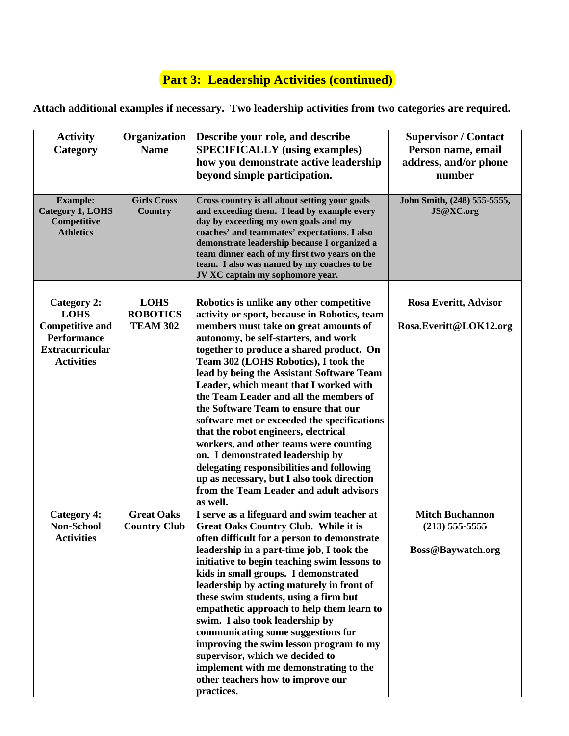# **Part 3: Leadership Activities (continued)**

**Attach additional examples if necessary. Two leadership activities from two categories are required.**

| <b>Activity</b><br>Category                                                                                                      | Organization<br><b>Name</b>                       | Describe your role, and describe<br><b>SPECIFICALLY</b> (using examples)<br>how you demonstrate active leadership<br>beyond simple participation.                                                                                                                                                                                                                                                                                                                                                                                                                                                                                                                                                                                                             | <b>Supervisor / Contact</b><br>Person name, email<br>address, and/or phone<br>number |
|----------------------------------------------------------------------------------------------------------------------------------|---------------------------------------------------|---------------------------------------------------------------------------------------------------------------------------------------------------------------------------------------------------------------------------------------------------------------------------------------------------------------------------------------------------------------------------------------------------------------------------------------------------------------------------------------------------------------------------------------------------------------------------------------------------------------------------------------------------------------------------------------------------------------------------------------------------------------|--------------------------------------------------------------------------------------|
| <b>Example:</b><br><b>Category 1, LOHS</b><br>Competitive<br><b>Athletics</b>                                                    | <b>Girls Cross</b><br><b>Country</b>              | Cross country is all about setting your goals<br>and exceeding them. I lead by example every<br>day by exceeding my own goals and my<br>coaches' and teammates' expectations. I also<br>demonstrate leadership because I organized a<br>team dinner each of my first two years on the<br>team. I also was named by my coaches to be<br>JV XC captain my sophomore year.                                                                                                                                                                                                                                                                                                                                                                                       | John Smith, (248) 555-5555,<br>JS@XC.org                                             |
| <b>Category 2:</b><br><b>LOHS</b><br><b>Competitive and</b><br><b>Performance</b><br><b>Extracurricular</b><br><b>Activities</b> | <b>LOHS</b><br><b>ROBOTICS</b><br><b>TEAM 302</b> | Robotics is unlike any other competitive<br>activity or sport, because in Robotics, team<br>members must take on great amounts of<br>autonomy, be self-starters, and work<br>together to produce a shared product. On<br>Team 302 (LOHS Robotics), I took the<br>lead by being the Assistant Software Team<br>Leader, which meant that I worked with<br>the Team Leader and all the members of<br>the Software Team to ensure that our<br>software met or exceeded the specifications<br>that the robot engineers, electrical<br>workers, and other teams were counting<br>on. I demonstrated leadership by<br>delegating responsibilities and following<br>up as necessary, but I also took direction<br>from the Team Leader and adult advisors<br>as well. | Rosa Everitt, Advisor<br>Rosa.Everitt@LOK12.org                                      |
| <b>Category 4:</b><br><b>Non-School</b><br><b>Activities</b>                                                                     | <b>Great Oaks</b><br><b>Country Club</b>          | I serve as a lifeguard and swim teacher at<br><b>Great Oaks Country Club. While it is</b><br>often difficult for a person to demonstrate<br>leadership in a part-time job, I took the<br>initiative to begin teaching swim lessons to<br>kids in small groups. I demonstrated<br>leadership by acting maturely in front of<br>these swim students, using a firm but<br>empathetic approach to help them learn to<br>swim. I also took leadership by<br>communicating some suggestions for<br>improving the swim lesson program to my<br>supervisor, which we decided to<br>implement with me demonstrating to the<br>other teachers how to improve our<br>practices.                                                                                          | <b>Mitch Buchannon</b><br>$(213)$ 555-5555<br><b>Boss@Baywatch.org</b>               |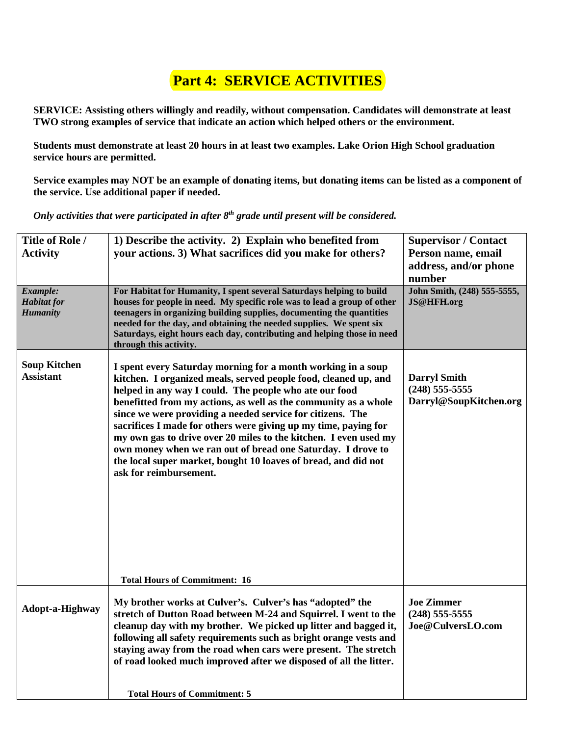# **Part 4: SERVICE ACTIVITIES**

**SERVICE: Assisting others willingly and readily, without compensation. Candidates will demonstrate at least TWO strong examples of service that indicate an action which helped others or the environment.** 

**Students must demonstrate at least 20 hours in at least two examples. Lake Orion High School graduation service hours are permitted.** 

**Service examples may NOT be an example of donating items, but donating items can be listed as a component of the service. Use additional paper if needed.**

*Only activities that were participated in after 8th grade until present will be considered.* 

| Title of Role /<br><b>Activity</b>                | 1) Describe the activity. 2) Explain who benefited from<br>your actions. 3) What sacrifices did you make for others?                                                                                                                                                                                                                                                                                                                                                                                                                                                                                                                                                 | <b>Supervisor / Contact</b><br>Person name, email<br>address, and/or phone<br>number |
|---------------------------------------------------|----------------------------------------------------------------------------------------------------------------------------------------------------------------------------------------------------------------------------------------------------------------------------------------------------------------------------------------------------------------------------------------------------------------------------------------------------------------------------------------------------------------------------------------------------------------------------------------------------------------------------------------------------------------------|--------------------------------------------------------------------------------------|
| Example:<br><b>Habitat</b> for<br><b>Humanity</b> | For Habitat for Humanity, I spent several Saturdays helping to build<br>houses for people in need. My specific role was to lead a group of other<br>teenagers in organizing building supplies, documenting the quantities<br>needed for the day, and obtaining the needed supplies. We spent six<br>Saturdays, eight hours each day, contributing and helping those in need<br>through this activity.                                                                                                                                                                                                                                                                | John Smith, (248) 555-5555,<br>JS@HFH.org                                            |
| <b>Soup Kitchen</b><br><b>Assistant</b>           | I spent every Saturday morning for a month working in a soup<br>kitchen. I organized meals, served people food, cleaned up, and<br>helped in any way I could. The people who ate our food<br>benefitted from my actions, as well as the community as a whole<br>since we were providing a needed service for citizens. The<br>sacrifices I made for others were giving up my time, paying for<br>my own gas to drive over 20 miles to the kitchen. I even used my<br>own money when we ran out of bread one Saturday. I drove to<br>the local super market, bought 10 loaves of bread, and did not<br>ask for reimbursement.<br><b>Total Hours of Commitment: 16</b> | <b>Darryl Smith</b><br>$(248)$ 555-5555<br>Darryl@SoupKitchen.org                    |
|                                                   | My brother works at Culver's. Culver's has "adopted" the                                                                                                                                                                                                                                                                                                                                                                                                                                                                                                                                                                                                             | <b>Joe Zimmer</b>                                                                    |
| Adopt-a-Highway                                   | stretch of Dutton Road between M-24 and Squirrel. I went to the<br>cleanup day with my brother. We picked up litter and bagged it,<br>following all safety requirements such as bright orange vests and<br>staying away from the road when cars were present. The stretch<br>of road looked much improved after we disposed of all the litter.                                                                                                                                                                                                                                                                                                                       | $(248)$ 555-5555<br>Joe@CulversLO.com                                                |
|                                                   | <b>Total Hours of Commitment: 5</b>                                                                                                                                                                                                                                                                                                                                                                                                                                                                                                                                                                                                                                  |                                                                                      |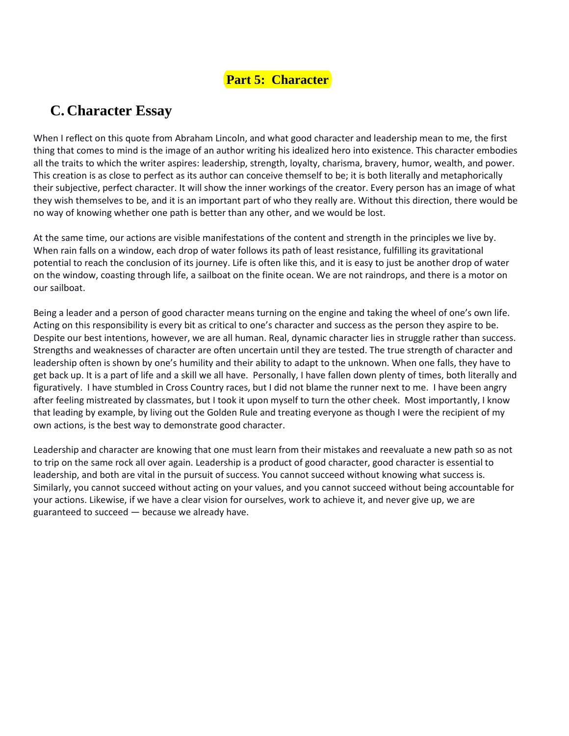### **Part 5: Character**

## **C. Character Essay**

When I reflect on this quote from Abraham Lincoln, and what good character and leadership mean to me, the first thing that comes to mind is the image of an author writing his idealized hero into existence. This character embodies all the traits to which the writer aspires: leadership, strength, loyalty, charisma, bravery, humor, wealth, and power. This creation is as close to perfect as its author can conceive themself to be; it is both literally and metaphorically their subjective, perfect character. It will show the inner workings of the creator. Every person has an image of what they wish themselves to be, and it is an important part of who they really are. Without this direction, there would be no way of knowing whether one path is better than any other, and we would be lost.

At the same time, our actions are visible manifestations of the content and strength in the principles we live by. When rain falls on a window, each drop of water follows its path of least resistance, fulfilling its gravitational potential to reach the conclusion of its journey. Life is often like this, and it is easy to just be another drop of water on the window, coasting through life, a sailboat on the finite ocean. We are not raindrops, and there is a motor on our sailboat.

Being a leader and a person of good character means turning on the engine and taking the wheel of one's own life. Acting on this responsibility is every bit as critical to one's character and success as the person they aspire to be. Despite our best intentions, however, we are all human. Real, dynamic character lies in struggle rather than success. Strengths and weaknesses of character are often uncertain until they are tested. The true strength of character and leadership often is shown by one's humility and their ability to adapt to the unknown. When one falls, they have to get back up. It is a part of life and a skill we all have. Personally, I have fallen down plenty of times, both literally and figuratively. I have stumbled in Cross Country races, but I did not blame the runner next to me. I have been angry after feeling mistreated by classmates, but I took it upon myself to turn the other cheek. Most importantly, I know that leading by example, by living out the Golden Rule and treating everyone as though I were the recipient of my own actions, is the best way to demonstrate good character.

Leadership and character are knowing that one must learn from their mistakes and reevaluate a new path so as not to trip on the same rock all over again. Leadership is a product of good character, good character is essential to leadership, and both are vital in the pursuit of success. You cannot succeed without knowing what success is. Similarly, you cannot succeed without acting on your values, and you cannot succeed without being accountable for your actions. Likewise, if we have a clear vision for ourselves, work to achieve it, and never give up, we are guaranteed to succeed — because we already have.